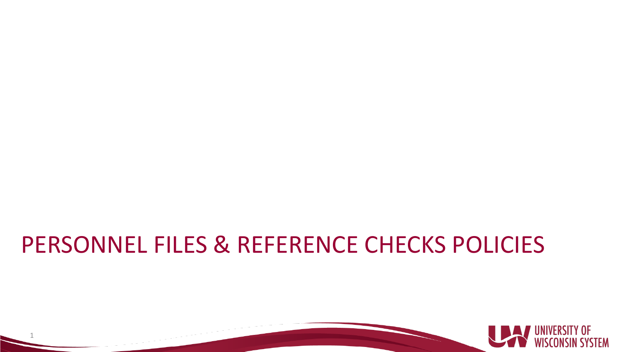#### PERSONNEL FILES & REFERENCE CHECKS POLICIES

1

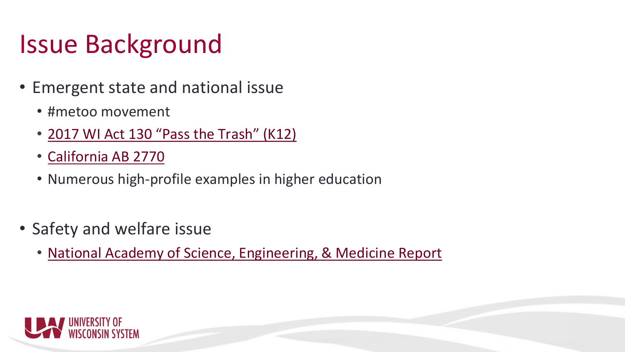## Issue Background

- Emergent state and national issue
	- #metoo movement
	- [2017 WI Act 130 "Pass the Trash" \(K12\)](http://docs.legis.wisconsin.gov/2017/related/acts/130)
	- [California AB 2770](https://leginfo.legislature.ca.gov/faces/billTextClient.xhtml?bill_id=201720180AB2770)
	- Numerous high-profile examples in higher education
- Safety and welfare issue
	- [National Academy of Science, Engineering, & Medicine Report](https://www.nap.edu/read/24994/chapter/1)

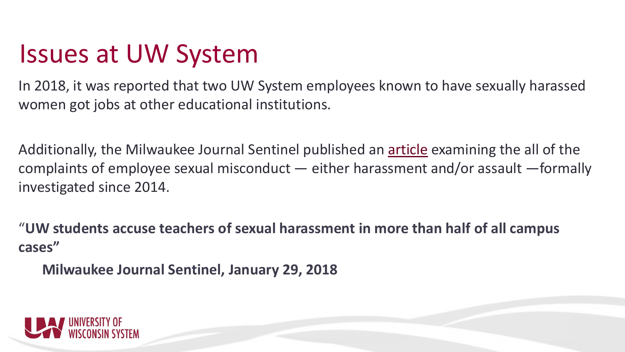#### Issues at UW System

In 2018, it was reported that two UW System employees known to have sexually harassed women got jobs at other educational institutions.

Additionally, the Milwaukee Journal Sentinel published an [article](https://www.jsonline.com/story/news/education/2018/01/29/uw-students-accuse-teachers-sexual-harassment-wisconsin/1067883001/) examining the all of the complaints of employee sexual misconduct — either harassment and/or assault —formally investigated since 2014.

"**UW students accuse teachers of sexual harassment in more than half of all campus cases"**

**Milwaukee Journal Sentinel, January 29, 2018**

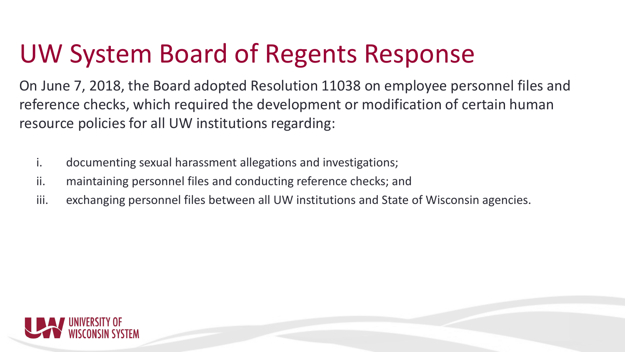# UW System Board of Regents Response

On June 7, 2018, the Board adopted Resolution 11038 on employee personnel files and reference checks, which required the development or modification of certain human resource policies for all UW institutions regarding:

- i. documenting sexual harassment allegations and investigations;
- ii. maintaining personnel files and conducting reference checks; and
- iii. exchanging personnel files between all UW institutions and State of Wisconsin agencies.

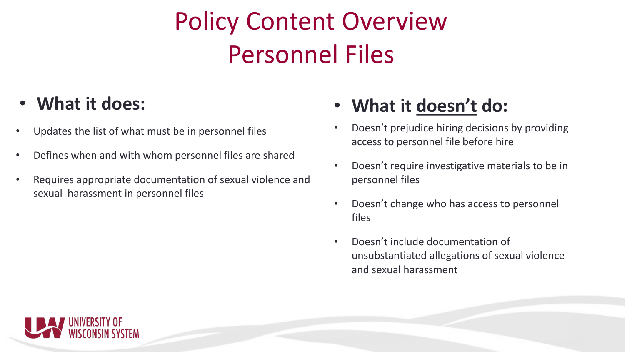# Policy Content Overview Personnel Files

- Updates the list of what must be in personnel files
- Defines when and with whom personnel files are shared
- Requires appropriate documentation of sexual violence and sexual harassment in personnel files

#### • **What it does:** • **What it doesn't do:**

- Doesn't prejudice hiring decisions by providing access to personnel file before hire
- Doesn't require investigative materials to be in personnel files
- Doesn't change who has access to personnel files
- Doesn't include documentation of unsubstantiated allegations of sexual violence and sexual harassment

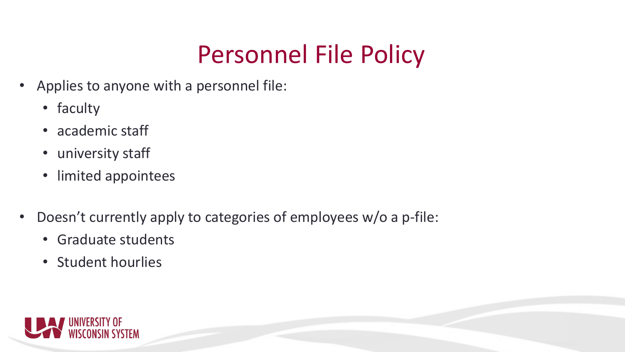### Personnel File Policy

- Applies to anyone with a personnel file:
	- faculty
	- academic staff
	- university staff
	- limited appointees
- Doesn't currently apply to categories of employees w/o a p-file:
	- Graduate students
	- Student hourlies

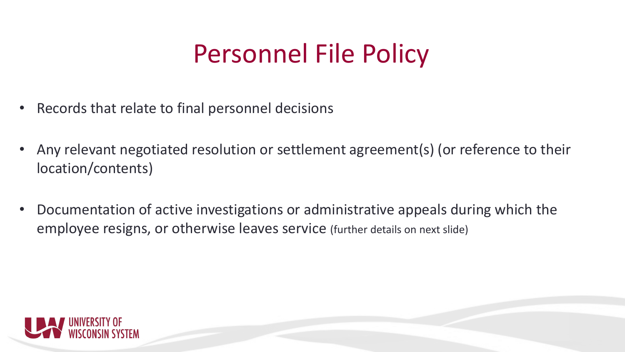# Personnel File Policy

- Records that relate to final personnel decisions
- Any relevant negotiated resolution or settlement agreement(s) (or reference to their location/contents)
- Documentation of active investigations or administrative appeals during which the employee resigns, or otherwise leaves service (further details on next slide)

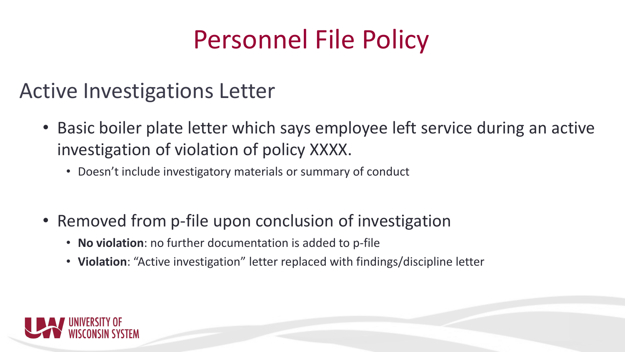# Personnel File Policy

#### Active Investigations Letter

- Basic boiler plate letter which says employee left service during an active investigation of violation of policy XXXX.
	- Doesn't include investigatory materials or summary of conduct
- Removed from p-file upon conclusion of investigation
	- **No violation**: no further documentation is added to p-file
	- **Violation**: "Active investigation" letter replaced with findings/discipline letter

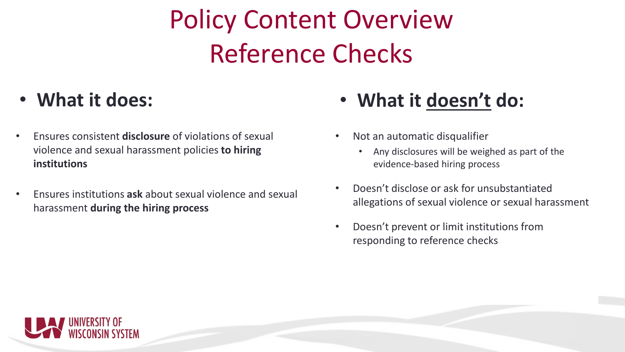# Policy Content Overview Reference Checks

- Ensures consistent **disclosure** of violations of sexual violence and sexual harassment policies **to hiring institutions**
- Ensures institutions **ask** about sexual violence and sexual harassment **during the hiring process**

#### • **What it does:** • **What it doesn't do:**

- Not an automatic disqualifier
	- Any disclosures will be weighed as part of the evidence-based hiring process
- Doesn't disclose or ask for unsubstantiated allegations of sexual violence or sexual harassment
- Doesn't prevent or limit institutions from responding to reference checks

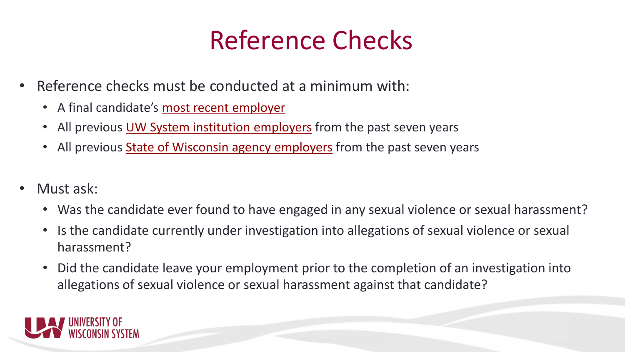## Reference Checks

- Reference checks must be conducted at a minimum with:
	- A final candidate's most recent employer
	- All previous UW System institution employers from the past seven years
	- All previous **State of Wisconsin agency employers** from the past seven years
- Must ask:
	- Was the candidate ever found to have engaged in any sexual violence or sexual harassment?
	- Is the candidate currently under investigation into allegations of sexual violence or sexual harassment?
	- Did the candidate leave your employment prior to the completion of an investigation into allegations of sexual violence or sexual harassment against that candidate?